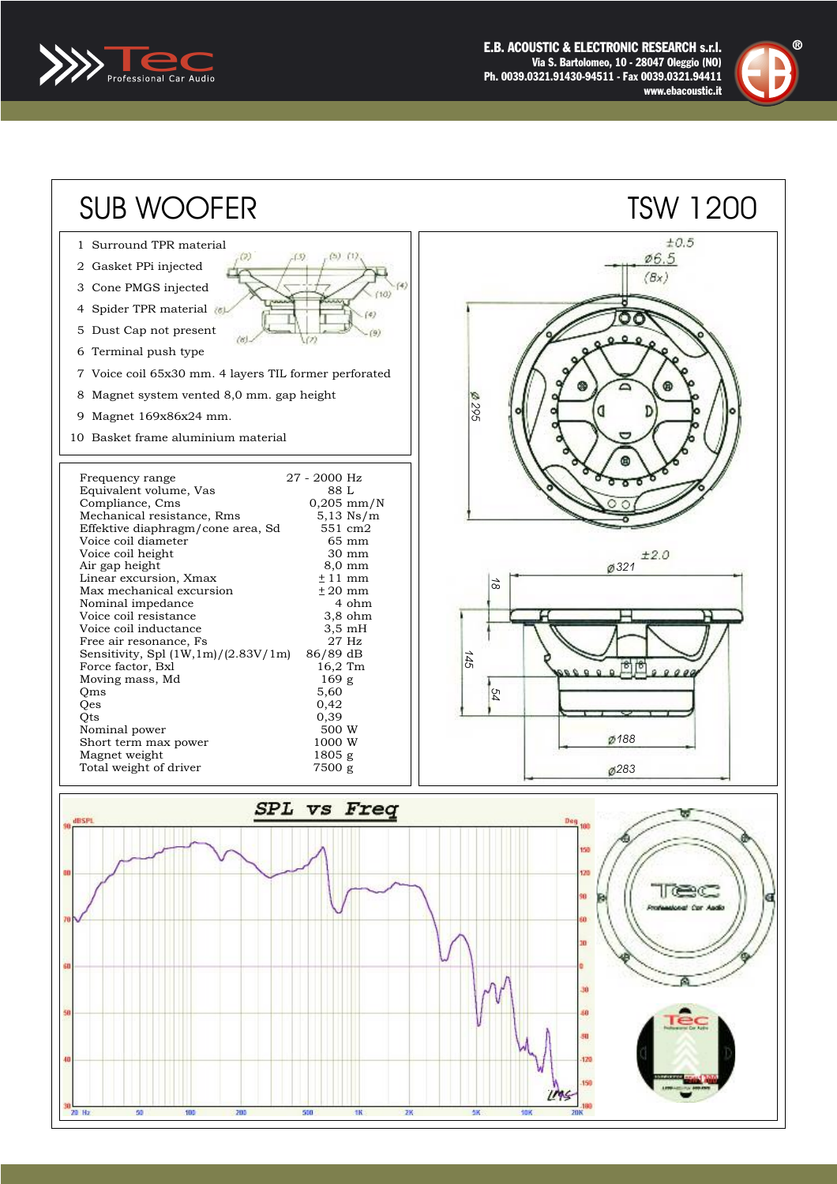